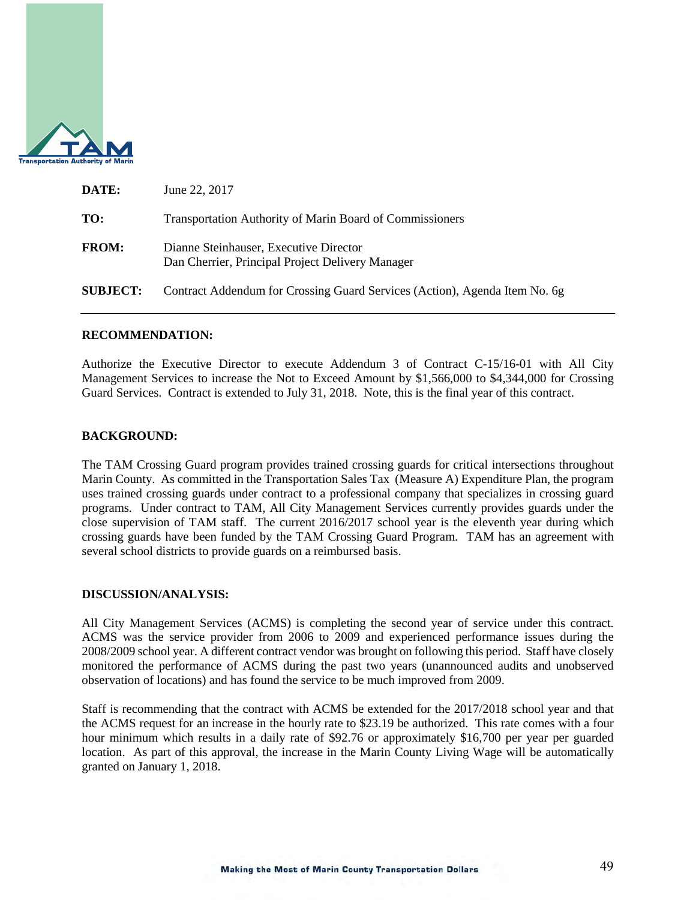

| DATE:           | June 22, 2017                                                                              |
|-----------------|--------------------------------------------------------------------------------------------|
| TO:             | <b>Transportation Authority of Marin Board of Commissioners</b>                            |
| <b>FROM:</b>    | Dianne Steinhauser, Executive Director<br>Dan Cherrier, Principal Project Delivery Manager |
| <b>SUBJECT:</b> | Contract Addendum for Crossing Guard Services (Action), Agenda Item No. 6g                 |

# **RECOMMENDATION:**

Authorize the Executive Director to execute Addendum 3 of Contract C-15/16-01 with All City Management Services to increase the Not to Exceed Amount by \$1,566,000 to \$4,344,000 for Crossing Guard Services. Contract is extended to July 31, 2018. Note, this is the final year of this contract.

# **BACKGROUND:**

The TAM Crossing Guard program provides trained crossing guards for critical intersections throughout Marin County. As committed in the Transportation Sales Tax (Measure A) Expenditure Plan, the program uses trained crossing guards under contract to a professional company that specializes in crossing guard programs. Under contract to TAM, All City Management Services currently provides guards under the close supervision of TAM staff. The current 2016/2017 school year is the eleventh year during which crossing guards have been funded by the TAM Crossing Guard Program. TAM has an agreement with several school districts to provide guards on a reimbursed basis.

## **DISCUSSION/ANALYSIS:**

All City Management Services (ACMS) is completing the second year of service under this contract. ACMS was the service provider from 2006 to 2009 and experienced performance issues during the 2008/2009 school year. A different contract vendor was brought on following this period. Staff have closely monitored the performance of ACMS during the past two years (unannounced audits and unobserved observation of locations) and has found the service to be much improved from 2009.

Staff is recommending that the contract with ACMS be extended for the 2017/2018 school year and that the ACMS request for an increase in the hourly rate to \$23.19 be authorized. This rate comes with a four hour minimum which results in a daily rate of \$92.76 or approximately \$16,700 per year per guarded location. As part of this approval, the increase in the Marin County Living Wage will be automatically granted on January 1, 2018.